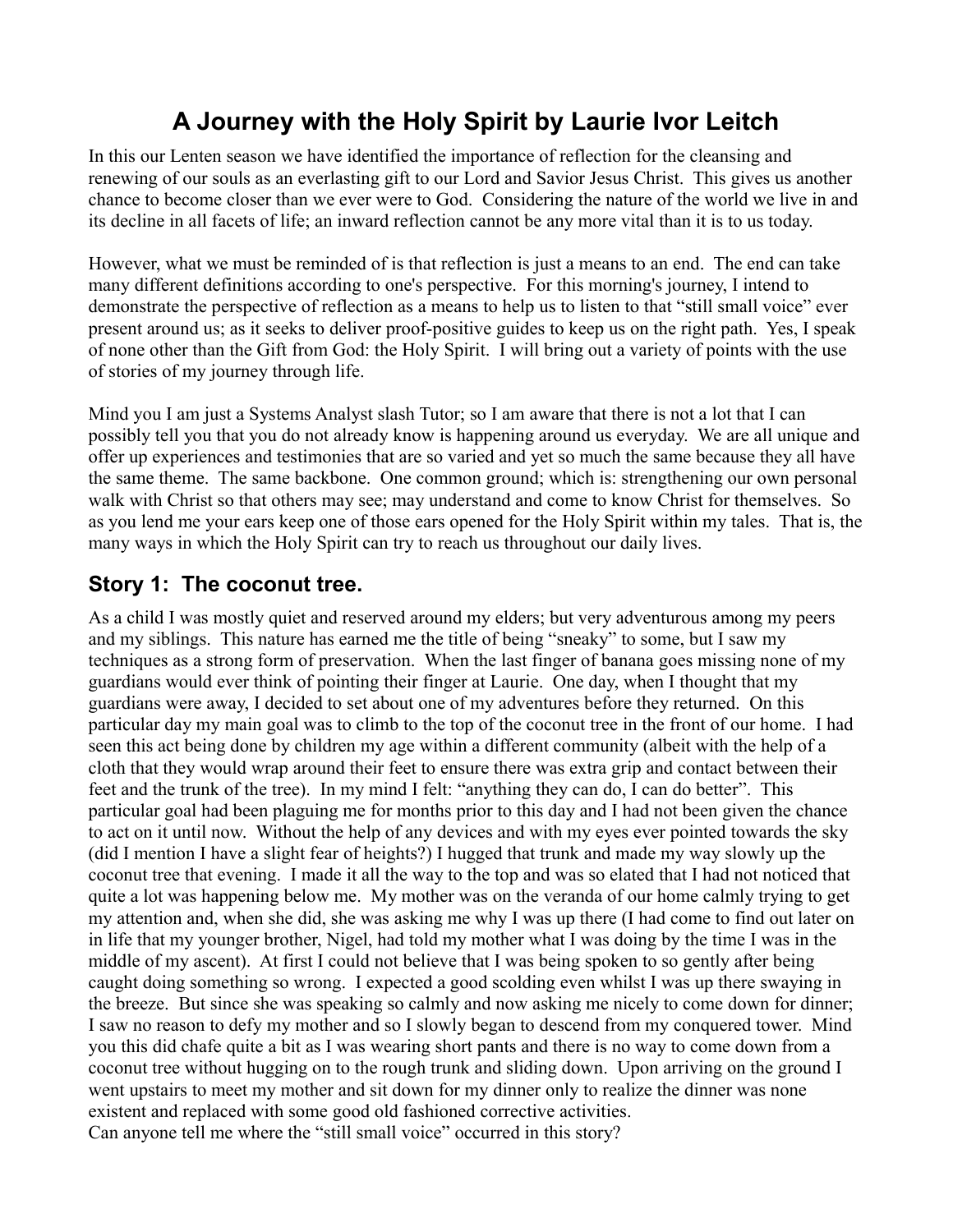# **A Journey with the Holy Spirit by Laurie Ivor Leitch**

In this our Lenten season we have identified the importance of reflection for the cleansing and renewing of our souls as an everlasting gift to our Lord and Savior Jesus Christ. This gives us another chance to become closer than we ever were to God. Considering the nature of the world we live in and its decline in all facets of life; an inward reflection cannot be any more vital than it is to us today.

However, what we must be reminded of is that reflection is just a means to an end. The end can take many different definitions according to one's perspective. For this morning's journey, I intend to demonstrate the perspective of reflection as a means to help us to listen to that "still small voice" ever present around us; as it seeks to deliver proof-positive guides to keep us on the right path. Yes, I speak of none other than the Gift from God: the Holy Spirit. I will bring out a variety of points with the use of stories of my journey through life.

Mind you I am just a Systems Analyst slash Tutor; so I am aware that there is not a lot that I can possibly tell you that you do not already know is happening around us everyday. We are all unique and offer up experiences and testimonies that are so varied and yet so much the same because they all have the same theme. The same backbone. One common ground; which is: strengthening our own personal walk with Christ so that others may see; may understand and come to know Christ for themselves. So as you lend me your ears keep one of those ears opened for the Holy Spirit within my tales. That is, the many ways in which the Holy Spirit can try to reach us throughout our daily lives.

## **Story 1: The coconut tree.**

As a child I was mostly quiet and reserved around my elders; but very adventurous among my peers and my siblings. This nature has earned me the title of being "sneaky" to some, but I saw my techniques as a strong form of preservation. When the last finger of banana goes missing none of my guardians would ever think of pointing their finger at Laurie. One day, when I thought that my guardians were away, I decided to set about one of my adventures before they returned. On this particular day my main goal was to climb to the top of the coconut tree in the front of our home. I had seen this act being done by children my age within a different community (albeit with the help of a cloth that they would wrap around their feet to ensure there was extra grip and contact between their feet and the trunk of the tree). In my mind I felt: "anything they can do, I can do better". This particular goal had been plaguing me for months prior to this day and I had not been given the chance to act on it until now. Without the help of any devices and with my eyes ever pointed towards the sky (did I mention I have a slight fear of heights?) I hugged that trunk and made my way slowly up the coconut tree that evening. I made it all the way to the top and was so elated that I had not noticed that quite a lot was happening below me. My mother was on the veranda of our home calmly trying to get my attention and, when she did, she was asking me why I was up there (I had come to find out later on in life that my younger brother, Nigel, had told my mother what I was doing by the time I was in the middle of my ascent). At first I could not believe that I was being spoken to so gently after being caught doing something so wrong. I expected a good scolding even whilst I was up there swaying in the breeze. But since she was speaking so calmly and now asking me nicely to come down for dinner; I saw no reason to defy my mother and so I slowly began to descend from my conquered tower. Mind you this did chafe quite a bit as I was wearing short pants and there is no way to come down from a coconut tree without hugging on to the rough trunk and sliding down. Upon arriving on the ground I went upstairs to meet my mother and sit down for my dinner only to realize the dinner was none existent and replaced with some good old fashioned corrective activities. Can anyone tell me where the "still small voice" occurred in this story?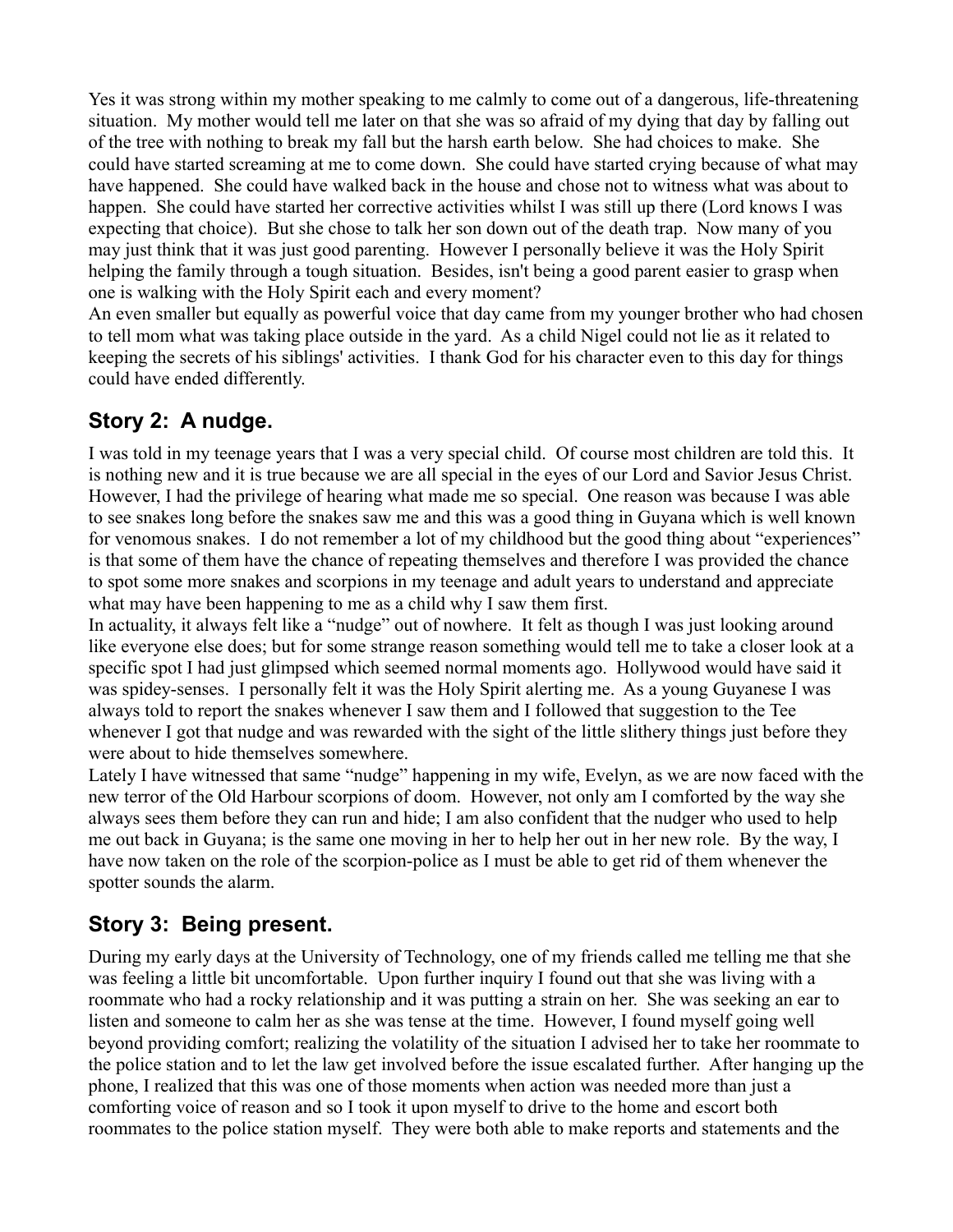Yes it was strong within my mother speaking to me calmly to come out of a dangerous, life-threatening situation. My mother would tell me later on that she was so afraid of my dying that day by falling out of the tree with nothing to break my fall but the harsh earth below. She had choices to make. She could have started screaming at me to come down. She could have started crying because of what may have happened. She could have walked back in the house and chose not to witness what was about to happen. She could have started her corrective activities whilst I was still up there (Lord knows I was expecting that choice). But she chose to talk her son down out of the death trap. Now many of you may just think that it was just good parenting. However I personally believe it was the Holy Spirit helping the family through a tough situation. Besides, isn't being a good parent easier to grasp when one is walking with the Holy Spirit each and every moment?

An even smaller but equally as powerful voice that day came from my younger brother who had chosen to tell mom what was taking place outside in the yard. As a child Nigel could not lie as it related to keeping the secrets of his siblings' activities. I thank God for his character even to this day for things could have ended differently.

## **Story 2: A nudge.**

I was told in my teenage years that I was a very special child. Of course most children are told this. It is nothing new and it is true because we are all special in the eyes of our Lord and Savior Jesus Christ. However, I had the privilege of hearing what made me so special. One reason was because I was able to see snakes long before the snakes saw me and this was a good thing in Guyana which is well known for venomous snakes. I do not remember a lot of my childhood but the good thing about "experiences" is that some of them have the chance of repeating themselves and therefore I was provided the chance to spot some more snakes and scorpions in my teenage and adult years to understand and appreciate what may have been happening to me as a child why I saw them first.

In actuality, it always felt like a "nudge" out of nowhere. It felt as though I was just looking around like everyone else does; but for some strange reason something would tell me to take a closer look at a specific spot I had just glimpsed which seemed normal moments ago. Hollywood would have said it was spidey-senses. I personally felt it was the Holy Spirit alerting me. As a young Guyanese I was always told to report the snakes whenever I saw them and I followed that suggestion to the Tee whenever I got that nudge and was rewarded with the sight of the little slithery things just before they were about to hide themselves somewhere.

Lately I have witnessed that same "nudge" happening in my wife, Evelyn, as we are now faced with the new terror of the Old Harbour scorpions of doom. However, not only am I comforted by the way she always sees them before they can run and hide; I am also confident that the nudger who used to help me out back in Guyana; is the same one moving in her to help her out in her new role. By the way, I have now taken on the role of the scorpion-police as I must be able to get rid of them whenever the spotter sounds the alarm.

#### **Story 3: Being present.**

During my early days at the University of Technology, one of my friends called me telling me that she was feeling a little bit uncomfortable. Upon further inquiry I found out that she was living with a roommate who had a rocky relationship and it was putting a strain on her. She was seeking an ear to listen and someone to calm her as she was tense at the time. However, I found myself going well beyond providing comfort; realizing the volatility of the situation I advised her to take her roommate to the police station and to let the law get involved before the issue escalated further. After hanging up the phone, I realized that this was one of those moments when action was needed more than just a comforting voice of reason and so I took it upon myself to drive to the home and escort both roommates to the police station myself. They were both able to make reports and statements and the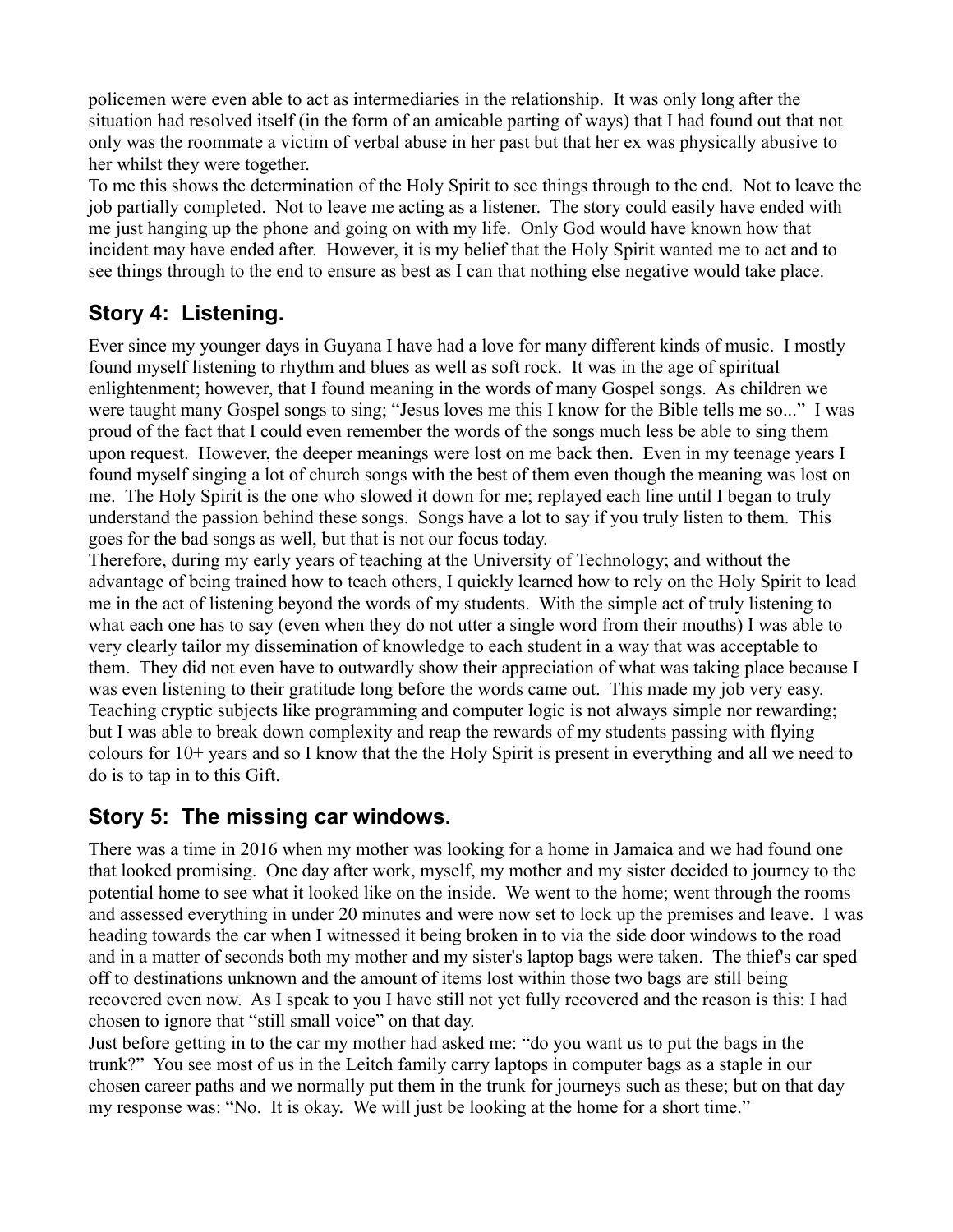policemen were even able to act as intermediaries in the relationship. It was only long after the situation had resolved itself (in the form of an amicable parting of ways) that I had found out that not only was the roommate a victim of verbal abuse in her past but that her ex was physically abusive to her whilst they were together.

To me this shows the determination of the Holy Spirit to see things through to the end. Not to leave the job partially completed. Not to leave me acting as a listener. The story could easily have ended with me just hanging up the phone and going on with my life. Only God would have known how that incident may have ended after. However, it is my belief that the Holy Spirit wanted me to act and to see things through to the end to ensure as best as I can that nothing else negative would take place.

# **Story 4: Listening.**

Ever since my younger days in Guyana I have had a love for many different kinds of music. I mostly found myself listening to rhythm and blues as well as soft rock. It was in the age of spiritual enlightenment; however, that I found meaning in the words of many Gospel songs. As children we were taught many Gospel songs to sing; "Jesus loves me this I know for the Bible tells me so..." I was proud of the fact that I could even remember the words of the songs much less be able to sing them upon request. However, the deeper meanings were lost on me back then. Even in my teenage years I found myself singing a lot of church songs with the best of them even though the meaning was lost on me. The Holy Spirit is the one who slowed it down for me; replayed each line until I began to truly understand the passion behind these songs. Songs have a lot to say if you truly listen to them. This goes for the bad songs as well, but that is not our focus today.

Therefore, during my early years of teaching at the University of Technology; and without the advantage of being trained how to teach others, I quickly learned how to rely on the Holy Spirit to lead me in the act of listening beyond the words of my students. With the simple act of truly listening to what each one has to say (even when they do not utter a single word from their mouths) I was able to very clearly tailor my dissemination of knowledge to each student in a way that was acceptable to them. They did not even have to outwardly show their appreciation of what was taking place because I was even listening to their gratitude long before the words came out. This made my job very easy. Teaching cryptic subjects like programming and computer logic is not always simple nor rewarding; but I was able to break down complexity and reap the rewards of my students passing with flying colours for 10+ years and so I know that the the Holy Spirit is present in everything and all we need to do is to tap in to this Gift.

#### **Story 5: The missing car windows.**

There was a time in 2016 when my mother was looking for a home in Jamaica and we had found one that looked promising. One day after work, myself, my mother and my sister decided to journey to the potential home to see what it looked like on the inside. We went to the home; went through the rooms and assessed everything in under 20 minutes and were now set to lock up the premises and leave. I was heading towards the car when I witnessed it being broken in to via the side door windows to the road and in a matter of seconds both my mother and my sister's laptop bags were taken. The thief's car sped off to destinations unknown and the amount of items lost within those two bags are still being recovered even now. As I speak to you I have still not yet fully recovered and the reason is this: I had chosen to ignore that "still small voice" on that day.

Just before getting in to the car my mother had asked me: "do you want us to put the bags in the trunk?" You see most of us in the Leitch family carry laptops in computer bags as a staple in our chosen career paths and we normally put them in the trunk for journeys such as these; but on that day my response was: "No. It is okay. We will just be looking at the home for a short time."